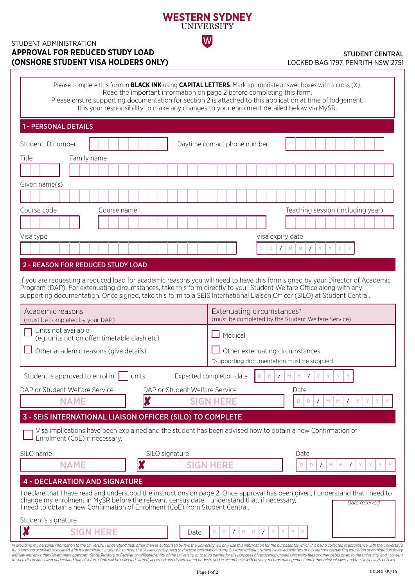## **WESTERN SYDNEY UNIVERSITY**

W

### STUDENT ADMINISTRATION **APPROVAL FOR REDUCED STUDY LOAD (ONSHORE STUDENT VISA HOLDERS ONLY)**

#### STUDENT CENTRAL LOCKED BAG 1797, PENRITH NSW 2751

| Please complete this form in <b>BLACK INK</b> using <b>CAPITAL LETTERS</b> . Mark appropriate answer boxes with a cross $(X)$ .<br>Read the important information on page 2 before completing this form.<br>Please ensure supporting documentation for section 2 is attached to this application at time of lodgement.<br>It is your responsibility to make any changes to your enrolment detailed below via MySR. |                                                                                                                                                  |
|--------------------------------------------------------------------------------------------------------------------------------------------------------------------------------------------------------------------------------------------------------------------------------------------------------------------------------------------------------------------------------------------------------------------|--------------------------------------------------------------------------------------------------------------------------------------------------|
| <b>1 - PERSONAL DETAILS</b>                                                                                                                                                                                                                                                                                                                                                                                        |                                                                                                                                                  |
| Student ID number                                                                                                                                                                                                                                                                                                                                                                                                  | Daytime contact phone number                                                                                                                     |
| Title<br>Family name                                                                                                                                                                                                                                                                                                                                                                                               |                                                                                                                                                  |
|                                                                                                                                                                                                                                                                                                                                                                                                                    |                                                                                                                                                  |
| Given name(s)                                                                                                                                                                                                                                                                                                                                                                                                      |                                                                                                                                                  |
|                                                                                                                                                                                                                                                                                                                                                                                                                    |                                                                                                                                                  |
| Course code<br>Course name                                                                                                                                                                                                                                                                                                                                                                                         | Teaching session (including year)                                                                                                                |
|                                                                                                                                                                                                                                                                                                                                                                                                                    |                                                                                                                                                  |
| Visa type                                                                                                                                                                                                                                                                                                                                                                                                          | Visa expiry date                                                                                                                                 |
|                                                                                                                                                                                                                                                                                                                                                                                                                    | M<br>M<br>$\prime$<br>Y<br>D<br>D<br>$\prime$<br>Y<br>Y                                                                                          |
| supporting documentation. Once signed, take this form to a SEIS International Liaison Officer (SILO) at Student Central.<br>Academic reasons<br>(must be completed by your DAP)<br>Units not available<br>(eg. units not on offer, timetable clash etc)                                                                                                                                                            | Extenuating circumstances*<br>(must be completed by the Student Welfare Service)<br>Medical                                                      |
| Other academic reasons (give details)                                                                                                                                                                                                                                                                                                                                                                              | Other extenuating circumstances<br>*Supporting documentation must be supplied.                                                                   |
| Student is approved to enrol in<br>units.                                                                                                                                                                                                                                                                                                                                                                          | Expected completion date<br>M<br>M<br>D<br>D<br>$\prime$                                                                                         |
| DAP or Student Welfare Service<br>DAP or Student Welfare Service                                                                                                                                                                                                                                                                                                                                                   | Date                                                                                                                                             |
| X<br><b>NAME</b>                                                                                                                                                                                                                                                                                                                                                                                                   | <b>SIGN HERE</b><br>D<br>M<br>M<br>D                                                                                                             |
| 3 - SEIS INTERNATIONAL LIAISON OFFICER (SILO) TO COMPLETE                                                                                                                                                                                                                                                                                                                                                          |                                                                                                                                                  |
| Visa implications have been explained and the student has been advised how to obtain a new Confirmation of<br>Enrolment (CoE) if necessary.                                                                                                                                                                                                                                                                        |                                                                                                                                                  |
| SILO name<br>SILO signature<br>X<br><b>NAME</b>                                                                                                                                                                                                                                                                                                                                                                    | Date<br><b>SIGN HERE</b><br>Y<br>D<br>D<br>M<br>M<br>$\prime$<br>$\prime$                                                                        |
| <b>4 - DECLARATION AND SIGNATURE</b>                                                                                                                                                                                                                                                                                                                                                                               |                                                                                                                                                  |
|                                                                                                                                                                                                                                                                                                                                                                                                                    |                                                                                                                                                  |
| change my enrolment in MySR before the relevant census date. I understand that, if necessary,<br>I need to obtain a new Confirmation of Enrolment (CoE) from Student Central.                                                                                                                                                                                                                                      | I declare that I have read and understood the instructions on page 2. Once approval has been given, I understand that I need to<br>Date received |

In providing my personal information to the University, I understand that, other than as authorised by law, the University will only use this information for the purposes for which it is being collected in accordance with and law and any other Government agencies (State, Territory or Federal, an affiliated entity of the University, or to third parties for the purposes of recovering unpaid University fees or other debts owed to the Universit